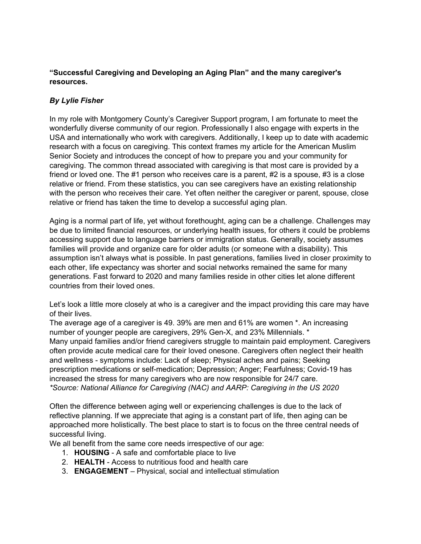## **"Successful Caregiving and Developing an Aging Plan" and the many caregiver's resources.**

# *By Lylie Fisher*

In my role with Montgomery County's Caregiver Support program, I am fortunate to meet the wonderfully diverse community of our region. Professionally I also engage with experts in the USA and internationally who work with caregivers. Additionally, I keep up to date with academic research with a focus on caregiving. This context frames my article for the American Muslim Senior Society and introduces the concept of how to prepare you and your community for caregiving. The common thread associated with caregiving is that most care is provided by a friend or loved one. The #1 person who receives care is a parent, #2 is a spouse, #3 is a close relative or friend. From these statistics, you can see caregivers have an existing relationship with the person who receives their care. Yet often neither the caregiver or parent, spouse, close relative or friend has taken the time to develop a successful aging plan.

Aging is a normal part of life, yet without forethought, aging can be a challenge. Challenges may be due to limited financial resources, or underlying health issues, for others it could be problems accessing support due to language barriers or immigration status. Generally, society assumes families will provide and organize care for older adults (or someone with a disability). This assumption isn't always what is possible. In past generations, families lived in closer proximity to each other, life expectancy was shorter and social networks remained the same for many generations. Fast forward to 2020 and many families reside in other cities let alone different countries from their loved ones.

Let's look a little more closely at who is a caregiver and the impact providing this care may have of their lives.

The average age of a caregiver is 49. 39% are men and 61% are women \*. An increasing number of younger people are caregivers, 29% Gen-X, and 23% Millennials. \* Many unpaid families and/or friend caregivers struggle to maintain paid employment. Caregivers often provide acute medical care for their loved onesone. Caregivers often neglect their health and wellness - symptoms include: Lack of sleep; Physical aches and pains; Seeking prescription medications or self-medication; Depression; Anger; Fearfulness; Covid-19 has increased the stress for many caregivers who are now responsible for 24/7 care. *\*Source: National Alliance for Caregiving (NAC) and AARP: Caregiving in the US 2020*

Often the difference between aging well or experiencing challenges is due to the lack of reflective planning. If we appreciate that aging is a constant part of life, then aging can be approached more holistically. The best place to start is to focus on the three central needs of successful living.

We all benefit from the same core needs irrespective of our age:

- 1. **HOUSING** A safe and comfortable place to live
- 2. **HEALTH** Access to nutritious food and health care
- 3. **ENGAGEMENT** Physical, social and intellectual stimulation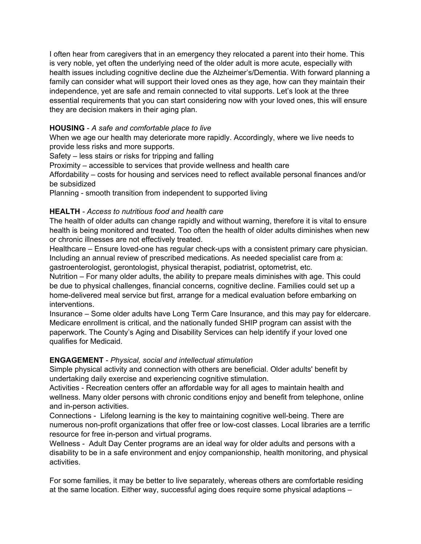I often hear from caregivers that in an emergency they relocated a parent into their home. This is very noble, yet often the underlying need of the older adult is more acute, especially with health issues including cognitive decline due the Alzheimer's/Dementia. With forward planning a family can consider what will support their loved ones as they age, how can they maintain their independence, yet are safe and remain connected to vital supports. Let's look at the three essential requirements that you can start considering now with your loved ones, this will ensure they are decision makers in their aging plan.

## **HOUSING** - *A safe and comfortable place to live*

When we age our health may deteriorate more rapidly. Accordingly, where we live needs to provide less risks and more supports.

Safety – less stairs or risks for tripping and falling

Proximity – accessible to services that provide wellness and health care

Affordability – costs for housing and services need to reflect available personal finances and/or be subsidized

Planning - smooth transition from independent to supported living

### **HEALTH** *- Access to nutritious food and health care*

The health of older adults can change rapidly and without warning, therefore it is vital to ensure health is being monitored and treated. Too often the health of older adults diminishes when new or chronic illnesses are not effectively treated.

Healthcare – Ensure loved-one has regular check-ups with a consistent primary care physician. Including an annual review of prescribed medications. As needed specialist care from a: gastroenterologist, gerontologist, physical therapist, podiatrist, optometrist, etc.

Nutrition – For many older adults, the ability to prepare meals diminishes with age. This could be due to physical challenges, financial concerns, cognitive decline. Families could set up a home-delivered meal service but first, arrange for a medical evaluation before embarking on interventions.

Insurance – Some older adults have Long Term Care Insurance, and this may pay for eldercare. Medicare enrollment is critical, and the nationally funded SHIP program can assist with the paperwork. The County's Aging and Disability Services can help identify if your loved one qualifies for Medicaid.

### **ENGAGEMENT** - *Physical, social and intellectual stimulation*

Simple physical activity and connection with others are beneficial. Older adults' benefit by undertaking daily exercise and experiencing cognitive stimulation.

Activities - Recreation centers offer an affordable way for all ages to maintain health and wellness. Many older persons with chronic conditions enjoy and benefit from telephone, online and in-person activities.

Connections - Lifelong learning is the key to maintaining cognitive well-being. There are numerous non-profit organizations that offer free or low-cost classes. Local libraries are a terrific resource for free in-person and virtual programs.

Wellness - Adult Day Center programs are an ideal way for older adults and persons with a disability to be in a safe environment and enjoy companionship, health monitoring, and physical activities.

For some families, it may be better to live separately, whereas others are comfortable residing at the same location. Either way, successful aging does require some physical adaptions –